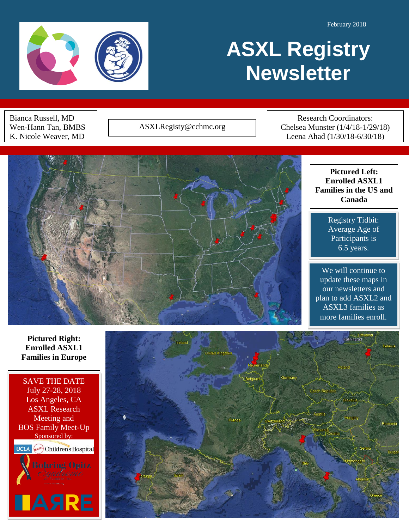February 2018



# **ASXL Registry Newsletter**

Bianca Russell, MD Wen-Hann Tan, BMBS K. Nicole Weaver, MD

ASXLRegisty@cchmc.org

Research Coordinators: Chelsea Munster (1/4/18-1/29/18) Leena Ahad (1/30/18-6/30/18)



Registry Tidbit: Average Age of Participants is 6.5 years.

We will continue to update these maps in our newsletters and plan to add ASXL2 and ASXL3 families as more families enroll.

**Pictured Right: Enrolled ASXL1 Families in Europe**

SAVE THE DATE July 27-28, 2018 Los Angeles, CA ASXL Research Meeting and BOS Family Meet-Up Sponsored by: **UCLA** Children's Hospital **ASRE** 

ļ